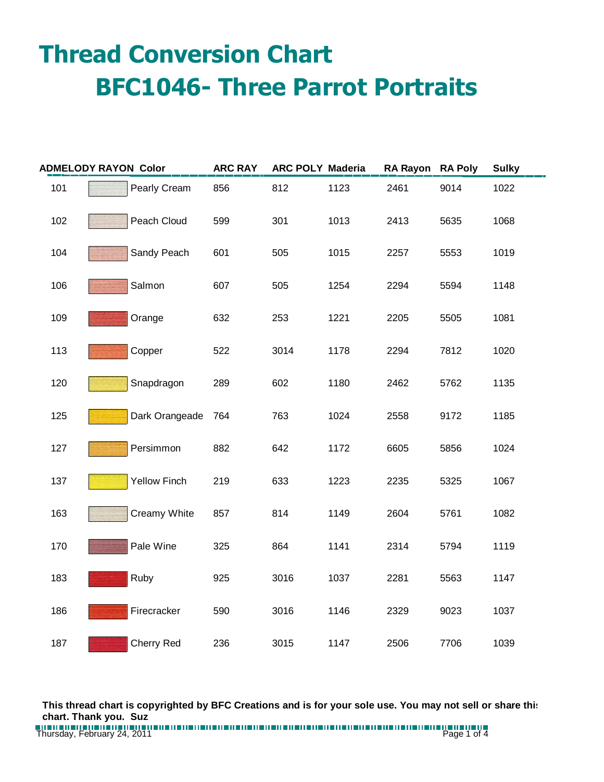## **Thread Conversion Chart BFC1046- Three Parrot Portraits**

| <b>ADMELODY RAYON Color</b> |  |                     | <b>ARC RAY</b> | <b>ARC POLY Maderia</b> |      | RA Rayon RA Poly |      | <b>Sulky</b> |
|-----------------------------|--|---------------------|----------------|-------------------------|------|------------------|------|--------------|
| 101                         |  | Pearly Cream        | 856            | 812                     | 1123 | 2461             | 9014 | 1022         |
| 102                         |  | Peach Cloud         | 599            | 301                     | 1013 | 2413             | 5635 | 1068         |
| 104                         |  | Sandy Peach         | 601            | 505                     | 1015 | 2257             | 5553 | 1019         |
| 106                         |  | Salmon              | 607            | 505                     | 1254 | 2294             | 5594 | 1148         |
| 109                         |  | Orange              | 632            | 253                     | 1221 | 2205             | 5505 | 1081         |
| 113                         |  | Copper              | 522            | 3014                    | 1178 | 2294             | 7812 | 1020         |
| 120                         |  | Snapdragon          | 289            | 602                     | 1180 | 2462             | 5762 | 1135         |
| 125                         |  | Dark Orangeade      | 764            | 763                     | 1024 | 2558             | 9172 | 1185         |
| 127                         |  | Persimmon           | 882            | 642                     | 1172 | 6605             | 5856 | 1024         |
| 137                         |  | <b>Yellow Finch</b> | 219            | 633                     | 1223 | 2235             | 5325 | 1067         |
| 163                         |  | Creamy White        | 857            | 814                     | 1149 | 2604             | 5761 | 1082         |
| 170                         |  | Pale Wine           | 325            | 864                     | 1141 | 2314             | 5794 | 1119         |
| 183                         |  | Ruby                | 925            | 3016                    | 1037 | 2281             | 5563 | 1147         |
| 186                         |  | Firecracker         | 590            | 3016                    | 1146 | 2329             | 9023 | 1037         |
| 187                         |  | <b>Cherry Red</b>   | 236            | 3015                    | 1147 | 2506             | 7706 | 1039         |

**This thread chart is copyrighted by BFC Creations and is for your sole use. You may not sell or share this chart. Thank you. Suz**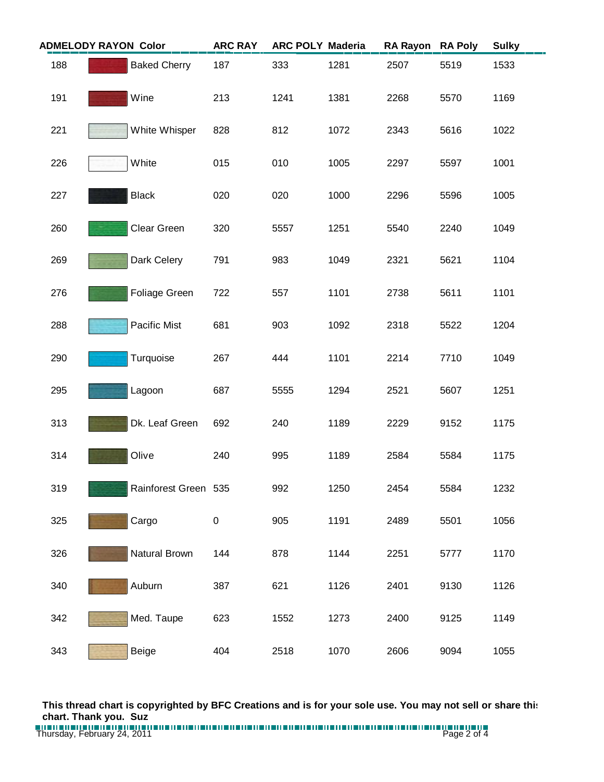| <b>ADMELODY RAYON Color</b> |  | <b>ARC RAY</b>       | <b>ARC POLY Maderia</b> |      | <b>RA Rayon</b> | <b>RA Poly</b> | <b>Sulky</b> |      |
|-----------------------------|--|----------------------|-------------------------|------|-----------------|----------------|--------------|------|
| 188                         |  | <b>Baked Cherry</b>  | 187                     | 333  | 1281            | 2507           | 5519         | 1533 |
| 191                         |  | Wine                 | 213                     | 1241 | 1381            | 2268           | 5570         | 1169 |
| 221                         |  | White Whisper        | 828                     | 812  | 1072            | 2343           | 5616         | 1022 |
| 226                         |  | White                | 015                     | 010  | 1005            | 2297           | 5597         | 1001 |
| 227                         |  | <b>Black</b>         | 020                     | 020  | 1000            | 2296           | 5596         | 1005 |
| 260                         |  | Clear Green          | 320                     | 5557 | 1251            | 5540           | 2240         | 1049 |
| 269                         |  | Dark Celery          | 791                     | 983  | 1049            | 2321           | 5621         | 1104 |
| 276                         |  | Foliage Green        | 722                     | 557  | 1101            | 2738           | 5611         | 1101 |
| 288                         |  | Pacific Mist         | 681                     | 903  | 1092            | 2318           | 5522         | 1204 |
| 290                         |  | Turquoise            | 267                     | 444  | 1101            | 2214           | 7710         | 1049 |
| 295                         |  | Lagoon               | 687                     | 5555 | 1294            | 2521           | 5607         | 1251 |
| 313                         |  | Dk. Leaf Green       | 692                     | 240  | 1189            | 2229           | 9152         | 1175 |
| 314                         |  | Olive                | 240                     | 995  | 1189            | 2584           | 5584         | 1175 |
| 319                         |  | Rainforest Green 535 |                         | 992  | 1250            | 2454           | 5584         | 1232 |
| 325                         |  | Cargo                | 0                       | 905  | 1191            | 2489           | 5501         | 1056 |
| 326                         |  | Natural Brown        | 144                     | 878  | 1144            | 2251           | 5777         | 1170 |
| 340                         |  | Auburn               | 387                     | 621  | 1126            | 2401           | 9130         | 1126 |
| 342                         |  | Med. Taupe           | 623                     | 1552 | 1273            | 2400           | 9125         | 1149 |
| 343                         |  | <b>Beige</b>         | 404                     | 2518 | 1070            | 2606           | 9094         | 1055 |

**This thread chart is copyrighted by BFC Creations and is for your sole use. You may not sell or share this chart. Thank you. Suz**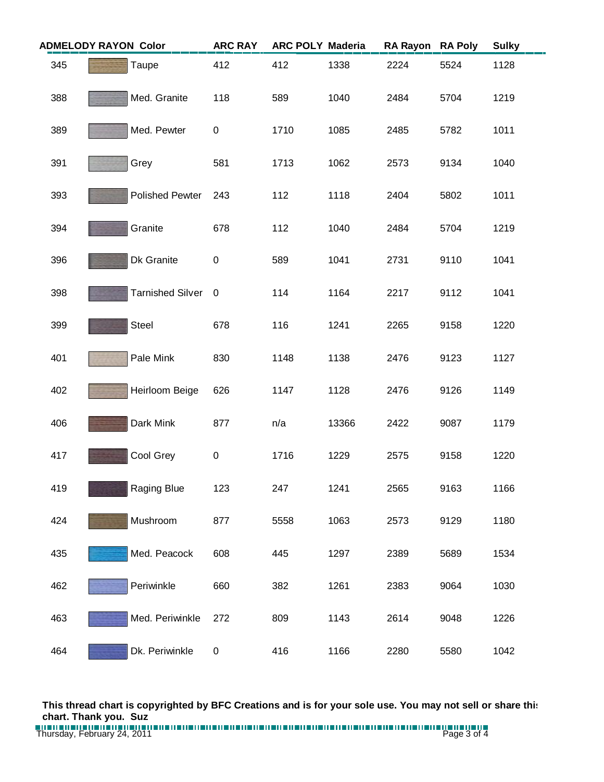|     | <b>ADMELODY RAYON Color</b> | <b>ARC RAY</b> | <b>ARC POLY Maderia</b> |       | <b>RA Rayon</b> | <b>RA Poly</b> | <b>Sulky</b> |
|-----|-----------------------------|----------------|-------------------------|-------|-----------------|----------------|--------------|
| 345 | Taupe                       | 412            | 412                     | 1338  | 2224            | 5524           | 1128         |
| 388 | Med. Granite                | 118            | 589                     | 1040  | 2484            | 5704           | 1219         |
| 389 | Med. Pewter                 | 0              | 1710                    | 1085  | 2485            | 5782           | 1011         |
| 391 | Grey                        | 581            | 1713                    | 1062  | 2573            | 9134           | 1040         |
| 393 | <b>Polished Pewter</b>      | 243            | 112                     | 1118  | 2404            | 5802           | 1011         |
| 394 | Granite                     | 678            | 112                     | 1040  | 2484            | 5704           | 1219         |
| 396 | Dk Granite                  | $\pmb{0}$      | 589                     | 1041  | 2731            | 9110           | 1041         |
| 398 | <b>Tarnished Silver</b>     | $\overline{0}$ | 114                     | 1164  | 2217            | 9112           | 1041         |
| 399 | Steel                       | 678            | 116                     | 1241  | 2265            | 9158           | 1220         |
| 401 | Pale Mink                   | 830            | 1148                    | 1138  | 2476            | 9123           | 1127         |
| 402 | Heirloom Beige              | 626            | 1147                    | 1128  | 2476            | 9126           | 1149         |
| 406 | Dark Mink                   | 877            | n/a                     | 13366 | 2422            | 9087           | 1179         |
| 417 | Cool Grey                   | $\pmb{0}$      | 1716                    | 1229  | 2575            | 9158           | 1220         |
| 419 | Raging Blue                 | 123            | 247                     | 1241  | 2565            | 9163           | 1166         |
| 424 | Mushroom                    | 877            | 5558                    | 1063  | 2573            | 9129           | 1180         |
| 435 | Med. Peacock                | 608            | 445                     | 1297  | 2389            | 5689           | 1534         |
| 462 | Periwinkle                  | 660            | 382                     | 1261  | 2383            | 9064           | 1030         |
| 463 | Med. Periwinkle             | 272            | 809                     | 1143  | 2614            | 9048           | 1226         |
| 464 | Dk. Periwinkle              | 0              | 416                     | 1166  | 2280            | 5580           | 1042         |

**This thread chart is copyrighted by BFC Creations and is for your sole use. You may not sell or share this chart. Thank you. Suz**